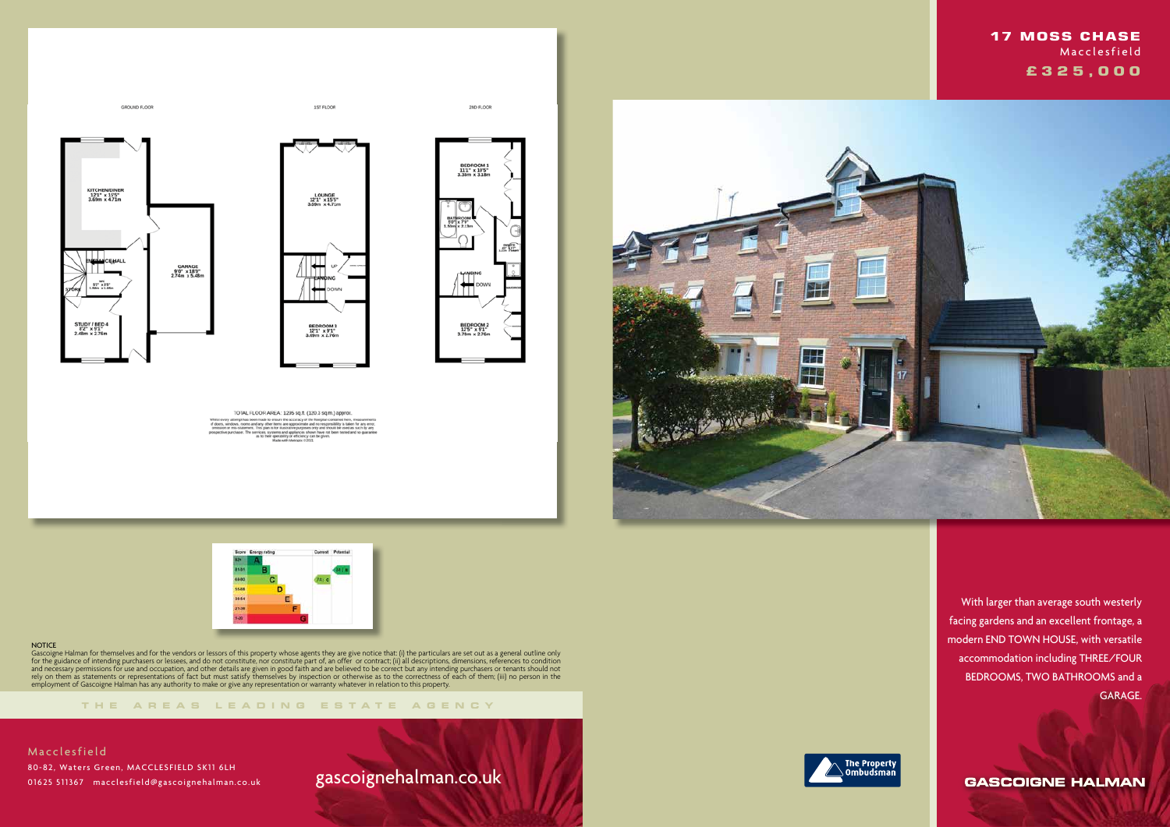





1ST FLOOR

LOUNGE<br>12'1" x 15'5"<br>3.69m x 4.71m

m ₩

2ND FLOOR

BEDROOM 1<br>11'1" x 10'5"<br>3.38m x 3.18n

I٣

BEDROOM 2<br>12'5" x 9'1"<br>3.78m x 2.76m

#### **NOTICE**

**THE AREA S LEADING ES T A TE A G E N C Y**

Gascoigne Halman for themselves and for the vendors or lessors of this property whose agents they are give notice that: (i) the particulars are set out as a general outline only for the guidance of intending purchasers or lessees, and do not constitute, nor constitute part of, an offer or contract; (ii) all descriptions, dimensions, references to condition and necessary permissions for use and occupation, and other details are given in good faith and are believed to be correct but any intending purchasers or tenants should not rely on them as statements or representations of fact but must satisfy themselves by inspection or otherwise as to the correctness of each of them; (iii) no person in the employment of Gascoigne Halman has any authority to make or give any representation or warranty whatever in relation to this property.

gascoignehalman.co.uk





GROUND FLOOR

KITCHENDINE<br>12'1" x 15'5"<br>3.69m x 4.71m

 $\frac{97}{200}$   $\frac{195}{1.06}$ 

STUDY / BED 4<br>8'2" x 9'1"<br>2.48m x 2.76m

**E HALL** 

GARAGE<br>
9'0" x 18'0"<br>
2.74m x 5.48m

 With larger than average south westerly facing gardens and an excellent frontage, a modern END TOWN HOUSE, with versatile accommodation including THREE/FOUR BEDROOMS, TWO BATHROOMS and a GARAGE.

**GASCOIGNE HALMAN** 



# **17 MOSS CHASE Macclesfield £ 3 2 5 , 0 0 0**